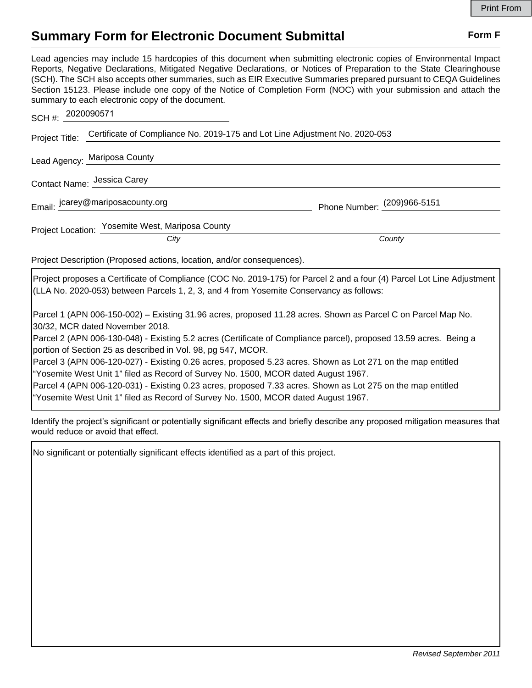## **Summary Form for Electronic Document Submittal Form F Form F**

Lead agencies may include 15 hardcopies of this document when submitting electronic copies of Environmental Impact Reports, Negative Declarations, Mitigated Negative Declarations, or Notices of Preparation to the State Clearinghouse (SCH). The SCH also accepts other summaries, such as EIR Executive Summaries prepared pursuant to CEQA Guidelines Section 15123. Please include one copy of the Notice of Completion Form (NOC) with your submission and attach the summary to each electronic copy of the document.

| SCH #: 2020090571            |                                                                                            |                             |
|------------------------------|--------------------------------------------------------------------------------------------|-----------------------------|
|                              | Project Title: Certificate of Compliance No. 2019-175 and Lot Line Adjustment No. 2020-053 |                             |
| Lead Agency: Mariposa County |                                                                                            |                             |
| Contact Name: Jessica Carey  |                                                                                            |                             |
|                              | Email: jcarey@mariposacounty.org                                                           | Phone Number: (209)966-5151 |
|                              | Project Location: Yosemite West, Mariposa County<br>City                                   | County                      |

Project Description (Proposed actions, location, and/or consequences).

Project proposes a Certificate of Compliance (COC No. 2019-175) for Parcel 2 and a four (4) Parcel Lot Line Adjustment (LLA No. 2020-053) between Parcels 1, 2, 3, and 4 from Yosemite Conservancy as follows:

Parcel 1 (APN 006-150-002) – Existing 31.96 acres, proposed 11.28 acres. Shown as Parcel C on Parcel Map No. 30/32, MCR dated November 2018.

Parcel 2 (APN 006-130-048) - Existing 5.2 acres (Certificate of Compliance parcel), proposed 13.59 acres. Being a portion of Section 25 as described in Vol. 98, pg 547, MCOR.

Parcel 3 (APN 006-120-027) - Existing 0.26 acres, proposed 5.23 acres. Shown as Lot 271 on the map entitled "Yosemite West Unit 1" filed as Record of Survey No. 1500, MCOR dated August 1967.

Parcel 4 (APN 006-120-031) - Existing 0.23 acres, proposed 7.33 acres. Shown as Lot 275 on the map entitled "Yosemite West Unit 1" filed as Record of Survey No. 1500, MCOR dated August 1967.

Identify the project's significant or potentially significant effects and briefly describe any proposed mitigation measures that would reduce or avoid that effect.

No significant or potentially significant effects identified as a part of this project.